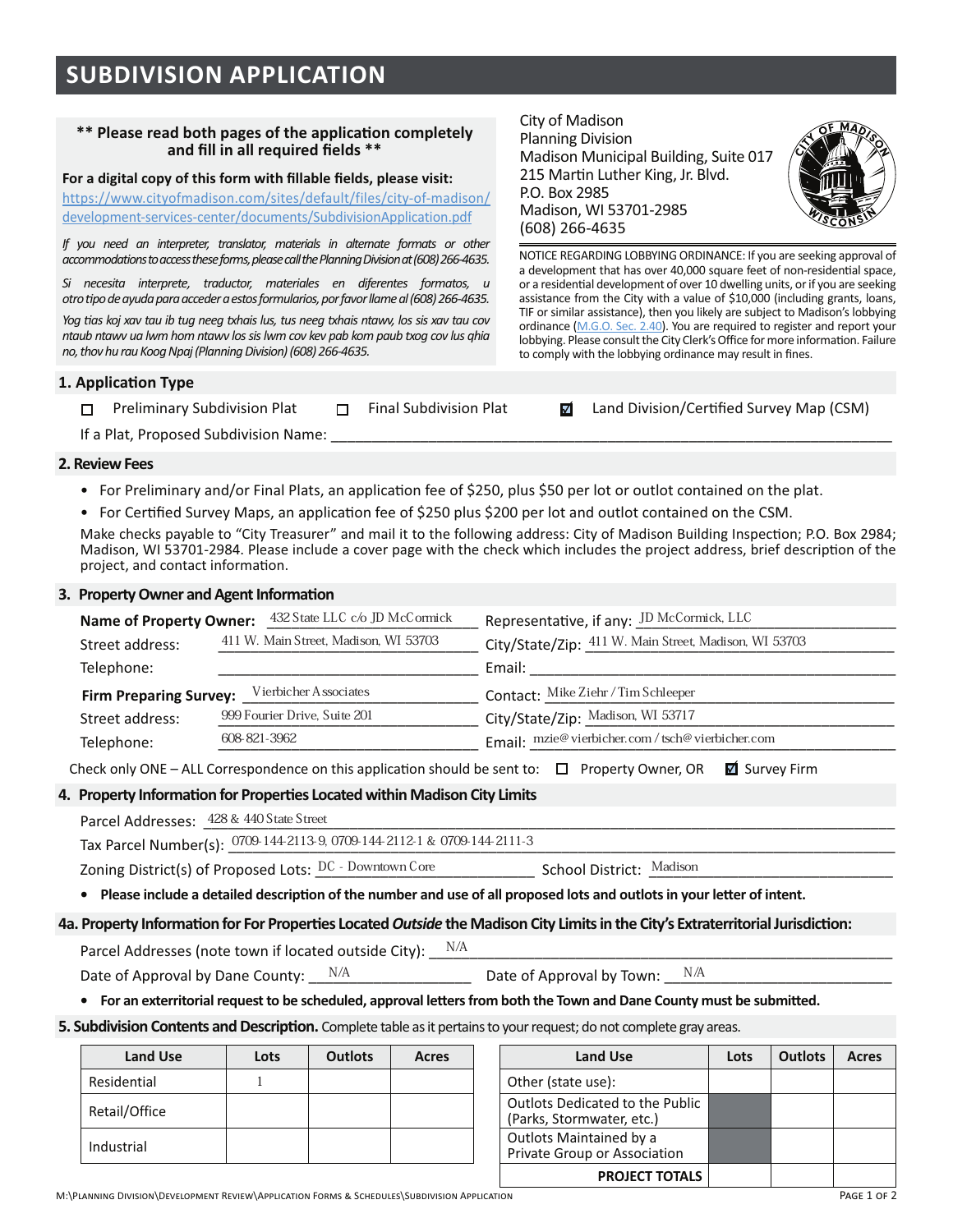# \*\* Please read both pages of the application completely and fill in all required fields \*\*

For a digital copy of this form with fillable fields, please visit:

https://www.cityofmadison.com/sites/default/files/city-of-madison/ development-services-center/documents/SubdivisionApplication.pdf

*If you need an interpreter, translator, materials in alternate formats or other accommodations to access these forms, please call the Planning Division at (608) 266-4635.* 

*Si necesita interprete, traductor, materiales en diferentes formatos, u*  otro tipo de ayuda para acceder a estos formularios, por favor llame al (608) 266-4635.

*?!@\$%)-\$A!B\$C)3\$")+\$1D\$"+@\$E((@\$"CF)1-\$0+-2\$"+-\$E((@\$"CF)1-\$E")G32\$0!-\$-1-\$C)3\$")+\$,!3\$* ntaub ntawv ua lwm hom ntawv los sis lwm cov kev pab kom paub txog cov lus ghia no, thov hu rau Koog Npaj (Planning Division) (608) 266-4635.

## **1. Application Type**

□ Preliminary Subdivision Plat □ Final Subdivision Plat **and Division/Certified Survey Map (CSM)** 

City of Madison Planning Division

P.O. Box 2985

 $(608)$  266-4635

Madison. WI 53701-2985

Madison Municipal Building, Suite 017 215 Martin Luther King, Jr. Blvd.

to comply with the lobbying ordinance may result in fines.

NOTICE REGARDING LOBBYING ORDINANCE: If you are seeking approval of a development that has over 40,000 square feet of non-residential space, or a residential development of over 10 dwelling units, or if you are seeking assistance from the City with a value of \$10,000 (including grants, loans, TIF or similar assistance), then you likely are subject to Madison's lobbying ordinance (M.G.O. Sec. 2.40). You are required to register and report your lobbying. Please consult the City Clerk's Office for more information. Failure

If a Plat, Proposed Subdivision Name:

### **2. Review Fees**

- For Preliminary and/or Final Plats, an application fee of \$250, plus \$50 per lot or outlot contained on the plat.
- \* For Certified Survey Maps, an application fee of \$250 plus \$200 per lot and outlot contained on the CSM.

Make checks payable to "City Treasurer" and mail it to the following address: City of Madison Building Inspection; P.O. Box 2984; Madison, WI 53701-2984. Please include a cover page with the check which includes the project address, brief description of the project, and contact information.

#### **6. Property Owner and Agent Information**

| <b>Name of Property Owner:</b>                         | 432 State LLC c/o JD McCormick        | Representative, if any: JD McCormick, LLC             |  |  |
|--------------------------------------------------------|---------------------------------------|-------------------------------------------------------|--|--|
| Street address:                                        | 411 W. Main Street, Madison, WI 53703 | City/State/Zip: 411 W. Main Street, Madison, WI 53703 |  |  |
| Telephone:                                             |                                       | Email:                                                |  |  |
| Vierbicher Associates<br><b>Firm Preparing Survey:</b> |                                       | Contact: Mike Ziehr / Tim Schleeper                   |  |  |
| Street address:                                        | 999 Fourier Drive, Suite 201          | City/State/Zip: Madison, WI 53717                     |  |  |
| 608-821-3962<br>Telephone:                             |                                       | Email: mzie@vierbicher.com / tsch@vierbicher.com      |  |  |

Check only ONE – ALL Correspondence on this application should be sent to:  $\Box$  Property Owner, OR  $\Box$  Survey Firm

## 4. Property Information for Properties Located within Madison City Limits

| Parcel Addresses: 428 & 440 State Street                                      |                          |  |
|-------------------------------------------------------------------------------|--------------------------|--|
| Tax Parcel Number(s): 0709 144 2113 9, 0709 144 2112 1 & 0709 144 2111 3      |                          |  |
| Zoning District(s) of Proposed Lots: $\, {\rm DC}$ - ${\rm Down} {\rm cover}$ | School District: Madison |  |

**•** Please include a detailed description of the number and use of all proposed lots and outlots in your letter of intent.

### 4a. Property Information for For Properties Located Outside the Madison City Limits in the City's Extraterritorial Jurisdiction:

| Parcel Addresses (note town if located outside City): $\;$ $\rm N/A$ |                                 |  |
|----------------------------------------------------------------------|---------------------------------|--|
| Date of Approval by Dane County: $\sqrt{\frac{N}{A}}$                | Date of Approval by Town: $N/A$ |  |

**•** For an exterritorial request to be scheduled, approval letters from both the Town and Dane County must be submitted.

**5. Subdivision Contents and Description.** Complete table as it pertains to your request; do not complete gray areas.

| <b>Land Use</b> | Lots | <b>Outlots</b> | Acres | <b>Land Use</b>                                                     |
|-----------------|------|----------------|-------|---------------------------------------------------------------------|
| Residential     |      |                |       | Other (state use):                                                  |
| Retail/Office   |      |                |       | <b>Outlots Dedicated to the Public</b><br>(Parks, Stormwater, etc.) |
| Industrial      |      |                |       | Outlots Maintained by a<br>Private Group or Association             |

| <b>Land Use</b> | Lots | <b>Outlots</b> | Acres | <b>Land Use</b>                                                     | Lots | <b>Outlots</b> | Acres |
|-----------------|------|----------------|-------|---------------------------------------------------------------------|------|----------------|-------|
| ential          |      |                |       | Other (state use):                                                  |      |                |       |
| /Office         |      |                |       | <b>Outlots Dedicated to the Public</b><br>(Parks, Stormwater, etc.) |      |                |       |
| trial           |      |                |       | Outlots Maintained by a<br>Private Group or Association             |      |                |       |
|                 |      |                |       | <b>PROJECT TOTALS</b>                                               |      |                |       |